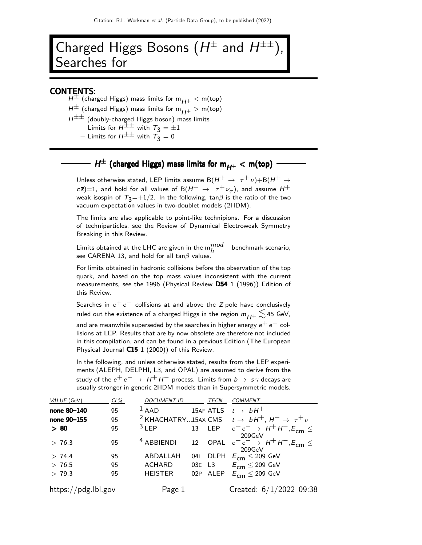# Charged Higgs Bosons  $(H^{\pm}$  and  $H^{\pm\pm})$ , Searches for

#### CONTENTS:

 $H^{\pm}$  (charged Higgs) mass limits for m $_{H^{\pm}}$  < m(top)

 $H^{\pm}$  (charged Higgs) mass limits for m $_{H^+} >$  m(top)

 $H^{\pm\pm}$  (doubly-charged Higgs boson) mass limits

– Limits for  $H^{\pm \pm}$  with  $T_3 = \pm 1$ 

– Limits for  $H^{\pm\pm}$  with  $\tilde{T}_3 = 0$ 

# $H^\pm$  (charged Higgs) mass limits for  $\mathsf{m}_{H^+}<\mathsf{m}(\mathsf{top})$

Unless otherwise stated, LEP limits assume  $\mathrm{B}(H^+ \to~\tau^+ \nu) + \mathrm{B}(H^+ \to$  $\sigma(\sigma;\sigma)$ =1, and hold for all values of  $\mathrm{B}(H^+ \to~\tau^+ \nu_\tau)$ , and assume  $H^+$ weak isospin of  $T_3=+1/2$ . In the following, tan $\beta$  is the ratio of the two vacuum expectation values in two-doublet models (2HDM).

The limits are also applicable to point-like technipions. For a discussion of techniparticles, see the Review of Dynamical Electroweak Symmetry Breaking in this Review.

Limits obtained at the LHC are given in the  $m_h^{mod-}$  benchmark scenario, see CARENA 13, and hold for all tan $\beta$  values.

For limits obtained in hadronic collisions before the observation of the top quark, and based on the top mass values inconsistent with the current measurements, see the 1996 (Physical Review D54 1 (1996)) Edition of this Review.

Searches in  $e^+e^-$  collisions at and above the Z pole have conclusively ruled out the existence of a charged Higgs in the region  $m_{H+} \lesssim 45$  GeV,

and are meanwhile superseded by the searches in higher energy  $e^+e^-$  collisions at LEP. Results that are by now obsolete are therefore not included in this compilation, and can be found in a previous Edition (The European Physical Journal C15 1 (2000)) of this Review.

In the following, and unless otherwise stated, results from the LEP experiments (ALEPH, DELPHI, L3, and OPAL) are assumed to derive from the study of the  $e^+e^- \rightarrow H^+H^-$  process. Limits from  $b \rightarrow s \gamma$  decays are usually stronger in generic 2HDM models than in Supersymmetric models.

| VALUE (GeV)         | $CL\%$ | <b>DOCUMENT ID</b>    |     | <b>TECN</b> | <b>COMMENT</b>                                                                    |
|---------------------|--------|-----------------------|-----|-------------|-----------------------------------------------------------------------------------|
| none 80-140         | 95     | $1$ AAD               |     |             | 15AF ATLS $t \rightarrow bH^+$                                                    |
| none 90-155         | 95     |                       |     |             | <sup>2</sup> KHACHATRY15AX CMS $t \rightarrow bH^+$ , $H^+ \rightarrow \tau^+\nu$ |
| > 80                | 95     | $3$ LEP               |     |             | 13 LEP $e^+e^- \rightarrow H^+H^-, E_{cm} \leq$                                   |
| > 76.3              | 95     | <sup>4</sup> ABBIENDI | 12  | OPAL        | 209GeV<br>$e^+e^- \rightarrow H^+H^-, E_{cm} \le$<br>209GeV                       |
| > 74.4              | 95     | ABDALLAH              | 041 |             | DLPH $E_{\text{cm}} \leq 209 \text{ GeV}$                                         |
| > 76.5              | 95     | ACHARD                |     | 03E L3      | $E^{}_{\mathsf{cm}} \leq$ 209 GeV                                                 |
| > 79.3              | 95     | <b>HEISTER</b>        | 02P | ALEP        | $E_{\rm cm} \leq 209$ GeV                                                         |
| https://pdg.lbl.gov |        | Page 1                |     |             | Created: $6/1/2022$ 09:38                                                         |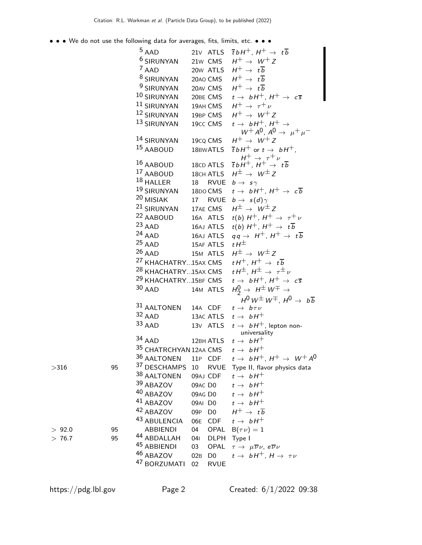• • • We do not use the following data for averages, fits, limits, etc. • • •

|         |    | $5$ AAD                         |                       | 21v ATLS $\overline{t} bH^+$ , $H^+ \rightarrow t\overline{b}$                                       |
|---------|----|---------------------------------|-----------------------|------------------------------------------------------------------------------------------------------|
|         |    | <sup>6</sup> SIRUNYAN           | 21w CMS               | $H^+ \rightarrow W^+ Z$                                                                              |
|         |    | 7 AAD                           | 20w ATLS              | $H^+ \rightarrow t\overline{b}$                                                                      |
|         |    | 8 SIRUNYAN                      | 20AO CMS              | $H^+ \rightarrow t\overline{b}$                                                                      |
|         |    | <sup>9</sup> SIRUNYAN           | 20AV CMS              | $H^+ \rightarrow t\overline{b}$                                                                      |
|         |    | 10 SIRUNYAN                     | 20BE CMS              | $t \rightarrow bH^+, H^+ \rightarrow c\overline{s}$                                                  |
|         |    | 11 SIRUNYAN                     | 19AH CMS              | $H^+ \rightarrow \tau^+ \nu$                                                                         |
|         |    | 12 SIRUNYAN                     | 19BP CMS              | $H^+ \rightarrow W^+ Z$                                                                              |
|         |    | 13 SIRUNYAN                     | 19cc CMS              | $t \rightarrow bH^{+}$ , $H^{+} \rightarrow$                                                         |
|         |    |                                 |                       | $W^+ A^0$ , $A^0 \rightarrow \mu^+ \mu^-$                                                            |
|         |    | 14 SIRUNYAN                     | 19cq CMS              | $H^+ \rightarrow W^+ Z$                                                                              |
|         |    | 15 AABOUD                       | 18BWATLS              | $\overline{t} b H^+$ or $t \to b H^+$ ,                                                              |
|         |    | 16 AABOUD                       | 18CD ATLS             | $H^+ \rightarrow \tau^+ \nu$<br>$\overline{t} bH^+$ , $H^+ \rightarrow t\overline{b}$                |
|         |    | <sup>17</sup> AABOUD            | 18CH ATLS             | $H^{\pm} \rightarrow W^{\pm} Z$                                                                      |
|         |    | $18$ HALLER                     | 18<br>RVUE            | $b \rightarrow s \gamma$                                                                             |
|         |    | 19 SIRUNYAN                     | 18DO CMS              | $t \rightarrow bH^+, H^+ \rightarrow c\overline{b}$                                                  |
|         |    | 20 MISIAK                       |                       | 17 RVUE $b \rightarrow s(d)\gamma$                                                                   |
|         |    | <sup>21</sup> SIRUNYAN          | 17AE CMS              | $H^{\pm} \rightarrow W^{\pm} Z$                                                                      |
|         |    | <sup>22</sup> AABOUD            | 16A ATLS              | $t(b) H^+, H^+ \rightarrow \tau^+ \nu$                                                               |
|         |    | $23$ AAD                        | 16AJ ATLS             | $t(b) H^+, H^+ \rightarrow t\overline{b}$                                                            |
|         |    | $24$ AAD                        | 16AJ ATLS             | $qq \rightarrow H^+, H^+ \rightarrow t\overline{b}$                                                  |
|         |    | $25$ AAD                        | 15AF ATLS             | t $H^{\pm}$                                                                                          |
|         |    | $26$ AAD                        | 15M ATLS              | $H^{\pm} \rightarrow W^{\pm} Z$                                                                      |
|         |    | <sup>27</sup> KHACHATRY15AX CMS |                       | $tH^+$ , $H^+ \rightarrow t\overline{b}$                                                             |
|         |    | <sup>28</sup> KHACHATRY15AX CMS |                       | tH <sup><math>\pm</math></sup> , H <sup><math>\pm</math></sup> $\rightarrow \tau^{\pm}$ <sub>V</sub> |
|         |    | <sup>29</sup> KHACHATRY15BF CMS |                       | $t \rightarrow bH^+, H^+ \rightarrow c\overline{s}$                                                  |
|         |    | $30$ AAD                        | 14M ATLS              | $H_2^0 \rightarrow H^{\pm}W^{\mp} \rightarrow$                                                       |
|         |    |                                 |                       | $H^0 W^{\pm} W^{\mp}$ . $H^0 \rightarrow b \overline{b}$                                             |
|         |    | 31 AALTONEN                     | 14A CDF               | $t \rightarrow b \tau \nu$                                                                           |
|         |    | 32 AAD                          | 13AC ATLS             | $t \rightarrow bH^+$                                                                                 |
|         |    | 33 AAD                          | 13V ATLS              | $t \rightarrow bH^{+}$ , lepton non-                                                                 |
|         |    | $34$ AAD                        | 12BH ATLS             | universality<br>$t \rightarrow bH^+$                                                                 |
|         |    | 35 CHATRCHYAN 12AA CMS          |                       | $t \rightarrow bH^+$                                                                                 |
|         |    | 36 AALTONEN                     | 11P CDF               | $t \rightarrow bH^+$ , $H^+ \rightarrow W^+ A^0$                                                     |
| $>$ 316 | 95 | 37 DESCHAMPS                    | 10                    | RVUE Type II, flavor physics data                                                                    |
|         |    | 38 AALTONEN                     | 09AJ CDF              | $t \rightarrow bH^+$                                                                                 |
|         |    | 39 ABAZOV                       | 09AC DO               | $t \rightarrow bH^+$                                                                                 |
|         |    | 40 ABAZOV                       | 09AG DO               | $t \rightarrow bH^+$                                                                                 |
|         |    | 41 ABAZOV                       | 09AI D0               | $t \rightarrow bH^+$                                                                                 |
|         |    | 42 ABAZOV                       | 09P<br>D <sub>0</sub> | $H^+ \rightarrow t\overline{b}$                                                                      |
|         |    | 43 ABULENCIA                    | 06E<br><b>CDF</b>     | $t \rightarrow bH^+$                                                                                 |
| > 92.0  | 95 | <b>ABBIENDI</b>                 | 04<br>OPAL            | $B(\tau \nu) = 1$                                                                                    |
| > 76.7  | 95 | 44 ABDALLAH                     | 041<br>DLPH Type I    |                                                                                                      |
|         |    | 45 ABBIENDI                     | 03<br>OPAL            | $\tau \rightarrow \mu \overline{\nu} \nu$ , e $\overline{\nu} \nu$                                   |
|         |    | 46 ABAZOV                       | 02B<br>D <sub>0</sub> | $t \rightarrow bH^+, H \rightarrow \tau \nu$                                                         |
|         |    | <sup>47</sup> BORZUMATI         | 02<br><b>RVUE</b>     |                                                                                                      |
|         |    |                                 |                       |                                                                                                      |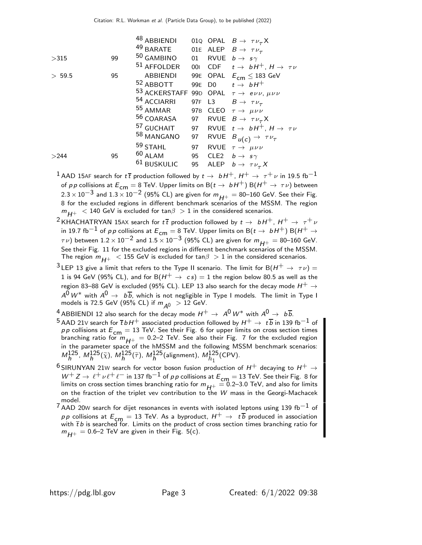|        |    | 48 ABBIENDI                                                         |        |             | 010 OPAL $B \rightarrow \tau \nu_{\tau} X$              |
|--------|----|---------------------------------------------------------------------|--------|-------------|---------------------------------------------------------|
|        |    | <sup>49</sup> BARATE                                                |        |             | O1E ALEP $B \rightarrow \tau \nu_{\tau}$                |
| >315   | 99 | 50 GAMBINO                                                          | 01     |             | RVUE $b \rightarrow s\gamma$                            |
|        |    | 51 AFFOLDER                                                         |        |             | 001 CDF $t \rightarrow bH^+$ , $H \rightarrow \tau \nu$ |
| > 59.5 | 95 | <b>ABBIENDI</b>                                                     |        |             | 99E OPAL $E_{\text{cm}} \leq 183 \text{ GeV}$           |
|        |    | <sup>52</sup> ABBOTT                                                |        |             | 99E D0 $t \rightarrow bH^+$                             |
|        |    | 53 ACKERSTAFF 99D OPAL $\tau \rightarrow e \nu \nu$ , $\mu \nu \nu$ |        |             |                                                         |
|        |    | 54 ACCIARRI                                                         | 97F L3 |             | $B \rightarrow \tau \nu_{\tau}$                         |
|        |    | <sup>55</sup> AMMAR                                                 |        |             | 97B CLEO $\tau \rightarrow \mu \nu \nu$                 |
|        |    | <sup>56</sup> COARASA                                               |        |             | 97 RVUE $B \rightarrow \tau \nu_{\tau} X$               |
|        |    | <sup>57</sup> GUCHAIT                                               |        |             | 97 RVUE $t \rightarrow bH^+$ , $H \rightarrow \tau \nu$ |
|        |    | 58 MANGANO                                                          | 97     | <b>RVUE</b> | $B_{u(c)} \rightarrow \tau \nu_{\tau}$                  |
|        |    | 59 STAHL                                                            | 97     |             | RVUE $\tau \rightarrow \mu \nu \nu$                     |
| >244   | 95 | $60$ ALAM                                                           | 95     |             | CLE2 $b \rightarrow s\gamma$                            |
|        |    | <sup>61</sup> BUSKULIC                                              | 95     |             | ALEP $b \rightarrow \tau \nu_{\tau} X$                  |
|        |    |                                                                     |        |             |                                                         |

<sup>1</sup> AAD 15AF search for  $t\bar{t}$  production followed by  $t \to bH^+$ ,  $H^+ \to \tau^+\nu$  in 19.5 fb<sup>-1</sup> of p p collisions at  $E_{cm} = 8$  TeV. Upper limits on B( $t \to bH^+$ ) B( $H^+ \to \tau \nu$ ) between  $2.3 \times 10^{-3}$  and  $1.3 \times 10^{-2}$  (95% CL) are given for  $m_{H^+} = 80$ –160 GeV. See their Fig. 8 for the excluded regions in different benchmark scenarios of the MSSM. The region  $m_{H^+}$  < 140 GeV is excluded for tan $\beta > 1$  in the considered scenarios.

- <sup>2</sup> KHACHATRYAN 15AX search for  $t\bar{t}$  production followed by  $t \to bH^+$ ,  $H^+ \to \tau^+\nu$ in 19.7 fb<sup>-1</sup> of pp collisions at  $E_{cm} = 8$  TeV. Upper limits on B( $t \rightarrow bH^+$ ) B( $H^+ \rightarrow$  $\tau$ v) between 1.2 × 10<sup>-2</sup> and 1.5 × 10<sup>-3</sup> (95% CL) are given for  $m_{H^+} = 80$ -160 GeV. See their Fig. 11 for the excluded regions in different benchmark scenarios of the MSSM. The region  $m_{H^+}$  < 155 GeV is excluded for tan $\beta > 1$  in the considered scenarios.
- $^3$ LEP 13 give a limit that refers to the Type II scenario. The limit for B $(H^+ \rightarrow \tau \nu) = 0$ 1 is 94 GeV (95% CL), and for B $(H^+ \rightarrow cs) = 1$  the region below 80.5 as well as the region 83–88 GeV is excluded (95% CL). LEP 13 also search for the decay mode  $H^+ \to$  $A^{\mathsf{0}}\, W^{*}$  with  $A^{\mathsf{0}}\, \rightarrow\, b\, \overline{b}$ , which is not negligible in Type I models. The limit in Type I models is 72.5 GeV (95% CL) if  $m_{\tilde{A}^0} > 12$  GeV.
- <sup>4</sup> ABBIENDI 12 also search for the decay mode  $H^+ \rightarrow A^0 W^*$  with  $A^0 \rightarrow b\overline{b}$ .
- $^5$  AAD 21V search for  $\overline{t}$   $b$  H $^+$  associated production followed by  $H^+ \to\ t\overline{b}$  in 139 fb $^{-1}$  of *p p* collisions at  $E_{cm} = 13$  TeV. See their Fig. 6 for upper limits on cross section times branching ratio for  $m_{H^+} = 0.2$  TeV. See also their Fig. 7 for the excluded region in the parameter space of the hMSSM and the following MSSM benchmark scenarios:  $M_h^{125}$ ,  $M_h^{125}(\tilde{\chi})$ ,  $M_h^{125}(\tilde{\tau})$ ,  $M_h^{125}$ (alignment),  $M_{h_1}^{125}$ (CPV).
- $^6$ SIRUNYAN 21W search for vector boson fusion production of  $H^+$  decaying to  $H^+$   $\rightarrow$  $W^+ Z \to \ell^+ \nu \ell^+ \ell^-$  in 137 fb $^{-1}$  of p p collisions at  $E_{\text{cm}} = 13$  TeV. See their Fig. 8 for limits on cross section times branching ratio for  $m_{H^{+}} = 0.2$ –3.0 TeV, and also for limits on the fraction of the triplet vev contribution to the  $W$  mass in the Georgi-Machacek model.
- $7$ AAD 20W search for dijet resonances in events with isolated leptons using 139 fb<sup>-1</sup> of  $p\,p$  collisions at  $E_{\mathsf{cm}}=13$  TeV. As a byproduct,  $H^+\to\ t\,\overline{b}$  produced in association<br>with  $\overline{t}\,b$  is searched for. Limits on the product of cross section times branching ratio for  $m_{H+} = 0.6-2$  TeV are given in their Fig. 5(c).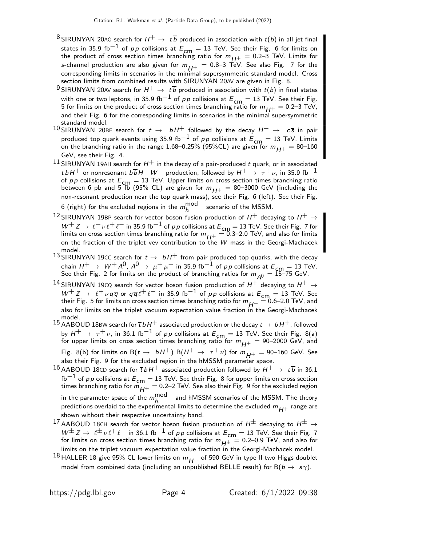- <sup>8</sup> SIRUNYAN 20AO search for  $H^+ \rightarrow t\overline{b}$  produced in association with  $t(b)$  in all jet final states in 35.9 fb<sup>-1</sup> of pp collisions at  $E_{cm} = 13$  TeV. See their Fig. 6 for limits on the product of cross section times branching ratio for  $m_{H+} = 0.2-3$  TeV. Limits for s-channel production are also given for  $m_{H^+} = 0.8-3$  TeV. See also Fig. 7 for the corresponding limits in scenarios in the minimal supersymmetric standard model. Cross section limits from combined results with SIRUNYAN 20AV are given in Fig. 8.
- <sup>9</sup> SIRUNYAN 20AV search for  $H^+ \rightarrow t\overline{b}$  produced in association with  $t(b)$  in final states with one or two leptons, in 35.9 fb<sup>-1</sup> of pp collisions at  $E_{cm} = 13$  TeV. See their Fig. 5 for limits on the product of cross section times branching ratio for  $m_{H+} = 0.2$ –3 TeV, and their Fig. 6 for the corresponding limits in scenarios in the minimal supersymmetric standard model.
- 10 SIRUNYAN 20BE search for  $t \to bH^+$  followed by the decay  $H^+ \to c\bar{s}$  in pair produced top quark events using 35.9 fb<sup>-1</sup> of p p collisions at  $E_{\text{cm}} = 13$  TeV. Limits on the branching ratio in the range 1.68–0.25% (95%CL) are given for  $m_{H^+} = 80$ –160 on the state state state state state state state state state state state state state state state state state state state state state st GeV, see their Fig. 4.
- $^{11}$  SIRUNYAN 19AH search for  $H^+$  in the decay of a pair-produced t quark, or in associated  $t\,b\,H^+$  or nonresonant  $b\,\overline{b}\,H^+\,W^-$  production, followed by  $H^+\,\rightarrow\,\,\tau^+\,\nu$ , in 35.9 fb $^{-1}$ of *p p* collisions at  $E_{cm} = 13$  TeV. Upper limits on cross section times branching ratio between 6 pb and 5 fb (95% CL) are given for  $m_{H^+} = 80$ –3000 GeV (including the non-resonant production near the top quark mass), see their Fig. 6 (left). See their Fig. 6 (right) for the excluded regions in the  $m_h^{\rm mod-}$  $h^{\text{HIOU}}$  scenario of the MSSM.
- <sup>12</sup> SIRUNYAN 19BP search for vector boson fusion production of  $H^+$  decaying to  $H^+ \rightarrow$  $W^+ Z \to \ell^+ \nu \ell^+ \ell^-$  in 35.9 fb $^{-1}$  of pp collisions at  $E_{\text{cm}} = 13$  TeV. See their Fig. 7 for limits on cross section times branching ratio for  $m_{H^{+}} = 0.3$ –2.0 TeV, and also for limits on the fraction of the triplet vev contribution to the W mass in the Georgi-Machacek model.
- 13 SIRUNYAN 19CC search for  $t \to bH^+$  from pair produced top quarks, with the decay chain  $H^+ \to W^+ A^0$ ,  $A^0 \to \mu^+ \mu^-$  in 35.9 fb<sup>-1</sup> of pp collisions at  $E_{cm} = 13$  TeV. See their Fig. 2 for limits on the product of branching ratios for  $m_{A0} = \overline{15} - 75$  GeV.
- $^{14}$  SIRUNYAN 19CQ search for vector boson fusion production of  $H^+$  decaying to  $H^+ \rightarrow$  $W^+ Z \rightarrow \ell^+ \nu q \overline{q}$  or  $q \overline{q} \ell^+ \ell^-$  in 35.9 fb<sup>-1</sup> of pp collisions at  $E_{cm} = 13$  TeV. See their Fig. 5 for limits on cross section times branching ratio for  $m_{H^{+}} = 0.6$ –2.0 TeV, and also for limits on the triplet vacuum expectation value fraction in the Georgi-Machacek model.
- $^{15}$  AABOUD 18BW search for  $\overline{t}$  bH $^+$  associated production or the decay  $t\to\,bH^+$ , followed by  $H^+ \to \tau^+ \nu$ , in 36.1 fb<sup>-1</sup> of pp collisions at  $E_{\text{cm}} = 13$  TeV. See their Fig. 8(a) for upper limits on cross section times branching ratio for  $m_{H^+} =$  90–2000 GeV, and Fig. 8(b) for limits on B( $t \to bH^+$ ) B( $H^+ \to \tau^+ \nu$ ) for  $m_{H^+} = 90$ –160 GeV. See
- also their Fig. 9 for the excluded region in the hMSSM parameter space. 16 AABOUD 18CD search for  $\overline{t} b H^+$  associated production followed by  $H^+ \to t \overline{b}$  in 36.1 fb<sup>−1</sup> of p p collisions at  $E_{\text{cm}} = 13$  TeV. See their Fig. 8 for upper limits on cross section times branching ratio for  $m_{H^+} =$  0.2–2 TeV. See also their Fig. 9 for the excluded region in the parameter space of the  $m_h^{\rm mod-}$  $h^{1100}$  and <code>hMSSM</code> scenarios of the MSSM. The theory predictions overlaid to the experimental limits to determine the excluded  $m_{H+}$  range are shown without their respective uncertainty band.
- 17 AABOUD 18CH search for vector boson fusion production of  $H^{\pm}$  decaying to  $H^{\pm} \rightarrow$  $W^{\pm} Z \rightarrow \ell^{\pm} \nu \ell^+ \ell^-$  in 36.1 fb<sup>-1</sup> of pp collisions at  $E_{cm} = 13$  TeV. See their Fig. 7 for limits on cross section times branching ratio for  $m_{H^\pm} = 0.2$ –0.9 TeV, and also for limits on the triplet vacuum expectation value fraction in the Georgi-Machacek model.
- <sup>18</sup> HALLER 18 give 95% CL lower limits on  $m_{H+}$  of 590 GeV in type II two Higgs doublet model from combined data (including an unpublished BELLE result) for  $B(b \to s\gamma)$ .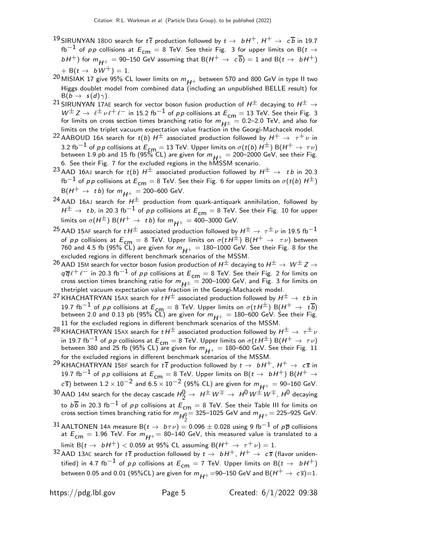- <sup>19</sup> SIRUNYAN 18DO search for  $t\bar{t}$  production followed by  $t \to bH^+$ ,  $H^+ \to c\bar{b}$  in 19.7 fb<sup>−1</sup> of pp collisions at  $E_{cm} = 8$  TeV. See their Fig. 3 for upper limits on B(t  $\rightarrow$  $bH^+$ ) for  $m_{H^+} = 90$ –150 GeV assuming that B $(H^+ \rightarrow c\overline{b}) = 1$  and B $(t \rightarrow bH^+)$  $+ B(t \rightarrow bW^+) = 1.$
- 20 MISIAK 17 give 95% CL lower limits on  $m_{H^{+}}$  between 570 and 800 GeV in type II two Higgs doublet model from combined data (including an unpublished BELLE result) for  $B(b \rightarrow s(d)\gamma)$ .
- <sup>21</sup> SIRUNYAN 17AE search for vector boson fusion production of  $H^{\pm}$  decaying to  $H^{\pm} \rightarrow$  $W^{\pm} Z \rightarrow \ell^{\pm} \nu \ell^+ \ell^-$  in 15.2 fb<sup>-1</sup> of pp collisions at  $E_{\text{cm}} = 13$  TeV. See their Fig. 3 for limits on cross section times branching ratio for  $m_{H^{\pm}} = 0.2$ –2.0 TeV, and also for limits on the triplet vacuum expectation value fraction in the Georgi-Machacek model.
- <sup>22</sup> AABOUD 16A search for  $t(b) H^{\pm}$  associated production followed by  $H^+ \rightarrow \tau^+ \nu$  in 3.2 fb<sup>-1</sup> of pp collisions at  $E_{cm} = 13$  TeV. Upper limits on  $\sigma(t/b) H^{\pm}$ ) B( $H^+ \rightarrow \tau \nu$ ) between 1.9 pb and 15 fb (95% CL) are given for  $m_{H+} = 200-2000$  GeV, see their Fig. 6. See their Fig. 7 for the excluded regions in the hMSSM scenario.
- <sup>23</sup> AAD 16AJ search for  $t(b) H^{\pm}$  associated production followed by  $H^{\pm} \rightarrow t b$  in 20.3 fb<sup>−1</sup> of pp collisions at  $E_{cm} = 8$  TeV. See their Fig. 6 for upper limits on  $\sigma(t(b) H^{\pm})$  $B(H^+ \rightarrow t b)$  for  $m_{H^+} = 200$ –600 GeV.
- <sup>24</sup> AAD 16AJ search for  $H^{\pm}$  production from quark-antiquark annihilation, followed by  $H^\pm \to~t\,b$ , in 20.3 fb $^{-1}$  of  $p\,p$  collisions at  $E_{\mathsf{cm}}=8$  TeV. See their Fig. 10 for upper limits on  $\sigma(H^{\pm})$  B( $H^+ \rightarrow tb$ ) for  $m_{H^+} = 400$ –3000 GeV.
- <sup>25</sup> AAD 15AF search for  $t H^{\pm}$  associated production followed by  $H^{\pm} \rightarrow \tau^{\pm} \nu$  in 19.5 fb<sup>-1</sup> of pp collisions at  $E_{cm} = 8$  TeV. Upper limits on  $\sigma(t H^{\pm})$  B( $H^+ \rightarrow \tau \nu$ ) between 760 and 4.5 fb (95% CL) are given for  $m_{H^+} = 180$ –1000 GeV. See their Fig. 8 for the excluded regions in different benchmark scenarios of the MSSM.
- 26 AAD 15M search for vector boson fusion production of  $H^{\pm}$  decaying to  $H^{\pm} \to W^{\pm} Z \to$  $q \overline{q} \ell^+ \ell^-$  in 20.3 fb<sup>-1</sup> of pp collisions at  $E_{cm} = 8$  TeV. See their Fig. 2 for limits on cross section times branching ratio for  $m_{H^\pm} = 200\text{--}1000$  GeV, and Fig. 3 for limits on thetriplet vacuum expectation value fraction in the Georgi-Machacek model.
- <sup>27</sup> KHACHATRYAN 15AX search for  $t H^{\pm}$  associated production followed by  $H^{\pm} \rightarrow t b$  in 19.7 fb<sup>-1</sup> of pp collisions at  $E_{cm} = 8$  TeV. Upper limits on  $\sigma(t H^{\pm})$  B( $H^+ \rightarrow t \overline{b}$ ) between 2.0 and 0.13 pb (95% CL) are given for  $m_{H^+} = 180$ –600 GeV. See their Fig. 11 for the excluded regions in different benchmark scenarios of the MSSM.
- <sup>28</sup> KHACHATRYAN 15AX search for  $t H^{\pm}$  associated production followed by  $H^{\pm} \rightarrow \tau^{\pm} \nu$ in 19.7 fb<sup>-1</sup> of pp collisions at  $E_{cm} = 8$  TeV. Upper limits on  $\sigma(t H^{\pm}) B(H^+ \rightarrow \tau \nu)$ between 380 and 25 fb (95% CL) are given for  $m_{H^+} = 180-600$  GeV. See their Fig. 11 for the excluded regions in different benchmark scenarios of the MSSM.
- <sup>29</sup> KHACHATRYAN 15BF search for  $t\bar{t}$  production followed by  $t \to bH^+$ ,  $H^+ \to c\bar{s}$  in 19.7 fb $^{-1}$  of pp collisions at  $E_{\mathsf{cm}}=8$  TeV. Upper limits on B( $t\to~bH^+$ ) B( $H^+\to bH^+$  $c$  s) between 1.2 × 10<sup>−2</sup> and 6.5 × 10<sup>−2</sup> (95% CL) are given for  $m_{H^+} = 90$ −160 GeV.  $^{30}$  AAD 14M search for the decay cascade  $H_2^0\to~H^\pm\,W^\mp\to~H^0\,W^\pm\,W^\mp$  ,  $H^0$  decaying to  $b\overline{b}$  in 20.3 fb<sup>−1</sup> of pp collisions at  $E_{\textsf{cm}}=8$  TeV. See their Table III for limits on cross section times branching ratio for  $m_{H_2^0}$   $=$  325–1025 GeV and  $m_{H^+}$   $=$  225–925 GeV.
- 31 AALTONEN 14A measure B( $t \to b \tau \nu$ ) = 0.096  $\pm$  0.028 using 9 fb<sup>-1</sup> of  $p\overline{p}$  collisions at  $E_{cm} = 1.96$  TeV. For  $m_{H+} = 80-140$  GeV, this measured value is translated to a limit B( $t \to bH^+$ ) < 0.059 at 95% CL assuming B( $H^+ \to \tau^+ \nu$ ) = 1.
- $^{32}$  AAD 13AC search for  $t\,\overline{t}$  production followed by  $t\to~bH^+$ ,  $H^+\to~c\,\overline{s}$  (flavor unidentified) in 4.7 fb<sup>-1</sup> of pp collisions at  $E_{cm} = 7$  TeV. Upper limits on B( $t \rightarrow bH^{+}$ ) between 0.05 and 0.01 (95%CL) are given for  $m_{H+}=90-150$  GeV and B $(H^+ \rightarrow c \overline{s})=1$ .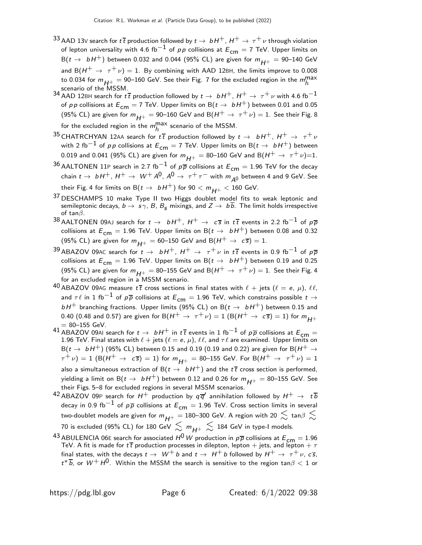- $^{33}$  AAD 13V search for  $t\bar{t}$  production followed by  $t\to~bH^+$  ,  $H^+\to~\tau^+\nu$  through violation of lepton universality with 4.6 fb<sup>-1</sup> of pp collisions at  $E_{cm} = 7$  TeV. Upper limits on  $B(t \rightarrow bH^+)$  between 0.032 and 0.044 (95% CL) are given for  $m_{H^+} = 90$ –140 GeV and B( $H^+ \rightarrow \tau^+ \nu$ ) = 1. By combining with AAD 12BH, the limits improve to 0.008 to 0.034 for  $m_{H^{+}} = 90$ –160 GeV. See their Fig. 7 for the excluded region in the  $m_h^{\text{max}}$
- scenario of the MSSM.<br><sup>34</sup> AAD 12BH search for t t production followed by t  $\rightarrow$  bH<sup>+</sup>, H<sup>+</sup>  $\rightarrow$   $~\tau^+ \nu$  with 4.6 fb $^{-1}$ of pp collisions at  $E_{cm} = 7$  TeV. Upper limits on B( $t \rightarrow bH^{+}$ ) between 0.01 and 0.05 (95% CL) are given for  $m_{H+} = 90-160$  GeV and B $(H^+ \rightarrow \tau^+ \nu) = 1$ . See their Fig. 8 for the excluded region in the  $m_h^{\rm max}$  scenario of the MSSM.
- $^{35}$  CHATRCHYAN 12AA search for  $t\,\overline{t}$  production followed by  $t\to~bH^+$ ,  $H^+\to~\tau^+\nu$ with 2 fb<sup>-1</sup> of pp collisions at  $E_{cm} = 7$  TeV. Upper limits on B( $t \rightarrow bH^+$ ) between 0.019 and 0.041 (95% CL) are given for  $m_{H^+} = 80$ –160 GeV and B $(H^+ \to \tau^+ \nu)$ =1.
- 36 AALTONEN 11P search in 2.7 fb<sup>-1</sup> of  $p\overline{p}$  collisions at  $E_{cm} = 1.96$  TeV for the decay chain  $t \to b H^+$ ,  $H^+ \to W^+ A^0$ ,  $A^0 \to \tau^+ \tau^-$  with  $m_{A^0}$  between 4 and 9 GeV. See their Fig. 4 for limits on B( $t \to bH^+$ ) for  $90 < m_{H^+} < 160$  GeV.
- <sup>37</sup> DESCHAMPS 10 make Type II two Higgs doublet model fits to weak leptonic and semileptonic decays,  $b \to s\gamma$ , B, B<sub>s</sub> mixings, and  $Z \to b\overline{b}$ . The limit holds irrespective of tan $\beta$ .
- $^{38}$  AALTONEN 09AJ search for  $t \to b H^+$ ,  $H^+ \to c \overline{s}$  in  $t\overline{t}$  events in 2.2 fb $^{-1}$  of  $p\overline{p}$ collisions at  $E_{cm} = 1.96$  TeV. Upper limits on B( $t \rightarrow bH^{+}$ ) between 0.08 and 0.32 (95% CL) are given for  $m_{H^+} = 60$ –150 GeV and B $(H^+ \rightarrow c\bar{s}) = 1$ .
- 39 ABAZOV 09AC search for  $t \to bH^+$ ,  $H^+ \to \tau^+ \nu$  in  $t\bar{t}$  events in 0.9 fb<sup>-1</sup> of  $p\bar{p}$ collisions at  $E_{cm} = 1.96$  TeV. Upper limits on B( $t \rightarrow bH^{+}$ ) between 0.19 and 0.25 (95% CL) are given for  $m_{H^+} = 80$ –155 GeV and B $(H^+ \rightarrow \tau^+ \nu) = 1$ . See their Fig. 4 for an excluded region in a MSSM scenario.
- 40 ABAZOV 09AG measure  $t\bar{t}$  cross sections in final states with  $\ell + j$ ets  $(\ell = e, \mu)$ ,  $\ell\ell$ , and  $\tau \ell$  in 1 fb $^{-1}$  of  $p\overline{p}$  collisions at  $E_{cm} = 1.96$  TeV, which constrains possible  $t \to$  $bH^+$  branching fractions. Upper limits (95% CL) on B( $t \rightarrow bH^+$ ) between 0.15 and 0.40 (0.48 and 0.57) are given for B $(H^+ \rightarrow \tau^+ \nu) = 1$  (B $(H^+ \rightarrow c\bar{s}) = 1$ ) for  $m_{H^+}$  $= 80 - 155$  GeV.
- 41 ABAZOV 09AI search for  $t \to bH^+$  in  $t\bar{t}$  events in 1 fb<sup>-1</sup> of  $p\bar{p}$  collisions at  $E_{cm} =$ 1.96 TeV. Final states with  $\ell + \text{jets } (\ell = e, \mu)$ ,  $\ell \ell$ , and  $\tau \ell$  are examined. Upper limits on  $B(t \rightarrow bH^+)$  (95% CL) between 0.15 and 0.19 (0.19 and 0.22) are given for B( $H^+ \rightarrow$  $(\tau^+\nu)=1$   $(\mathsf{B}(\mathsf{H}^+\to\mathsf{c}\bar{\mathsf{s}})=1)$  for  $m_{\mathsf{H}^+}=80$ –155 GeV. For  $\mathsf{B}(\mathsf{H}^+\to\tau^+\nu)=1$ also a simultaneous extraction of B $(t \to bH^+)$  and the  $t\bar{t}$  cross section is performed, yielding a limit on B( $t \to b H^+$ ) between 0.12 and 0.26 for  $m_{H^+} = 80$ –155 GeV. See their Figs. 5–8 for excluded regions in several MSSM scenarios.
- $^{42}$  ABAZOV 09P search for  $H^+$  production by  $q \overline{q}'$  annihilation followed by  $H^+ \,\rightarrow\,\, t \,\overline{b}$ decay in 0.9 fb<sup>-1</sup> of  $p\overline{p}$  collisions at  $E_{cm} = 1.96$  TeV. Cross section limits in several two-doublet models are given for  $m_{H+} = 180$ –300 GeV. A region with 20  $\lesssim$  tan $\beta \lesssim$ 70 is excluded (95% CL) for 180 GeV  $\lesssim m_{H^+} \lesssim 184$  GeV in type-I models.
- <sup>43</sup> ABULENCIA 06E search for associated  $H^0$  *W* production in  $p\overline{p}$  collisions at  $E_{\text{cm}} = 1.96$  TeV. A fit is made for  $t\overline{t}$  production processes in dilepton, lepton  $+$  jets, and lepton  $+\tau$ final states, with the decays  $t \to W^+ b$  and  $t \to H^+ b$  followed by  $H^+ \to \tau^+ \nu$ ,  $c\overline{s}$ ,  $t^*\overline{b}$ , or  $W^+ \, H^0$ . Within the MSSM the search is sensitive to the region tan $\beta < 1$  or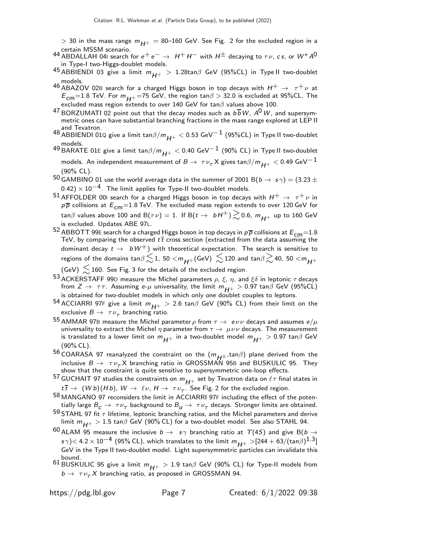- $>$  30 in the mass range  $m_{H+}$  = 80–160 GeV. See Fig. 2 for the excluded region in a
- 44 certain MSSM scenario.<br>44 ABDALLAH 041 search for  $e^+ \, e^- \rightarrow \; H^+ \, H^-$  with  $H^\pm$  decaying to  $\tau \nu, \, c \, s, \, {\rm or} \; W^* \, A^0$ in Type-I two-Higgs-doublet models.
- 45 ABBIENDI 03 give a limit  $m_{H+} > 1.28 \tan \beta$  GeV (95%CL) in Type II two-doublet models.
- 46 ABAZOV 02B search for a charged Higgs boson in top decays with  $H^+ \rightarrow \tau^+ \nu$  at  $E_{\text{cm}}$ =1.8 TeV. For  $m_{H+}$ =75 GeV, the region tan $\beta > 32.0$  is excluded at 95%CL. The excluded mass region extends to over 140 GeV for tan $\beta$  values above 100.
- $^{47}$  BORZUMATI 02 point out that the decay modes such as  $b\overline{b}$  W,  $A^0$  W, and supersymmetric ones can have substantial branching fractions in the mass range explored at LEP II and Tevatron.
- 48 ABBIENDI 01Q give a limit tan $\beta/m_{H^+} < 0.53$  GeV $^{-1}$  (95%CL) in Type II two-doublet models.
- <sup>49</sup> BARATE 01E give a limit tan $\beta/m_{H+} < 0.40$  GeV<sup>-1</sup> (90% CL) in Type II two-doublet models. An independent measurement of  $B\to~\tau \nu_\tau$ X gives tan $\beta/m_{H\pm}^{} < 0.49$  GeV $^{-1}$ (90% CL).
- $^{50}$  GAMBINO 01 use the world average data in the summer of 2001 B( $b\to\,s\gamma)=(3.23\pm0.15)$  $(0.42) \times 10^{-4}$ . The limit applies for Type-II two-doublet models.
- <sup>51</sup> AFFOLDER 00I search for a charged Higgs boson in top decays with  $H^+ \rightarrow \tau^+ \nu$  in  $p\overline{p}$  collisions at  $E_{cm}$ =1.8 TeV. The excluded mass region extends to over 120 GeV for tan $\beta$  values above 100 and B( $\tau \nu$ ) = 1. If B( $t \to bH^+$ )  $\gtrsim$  0.6,  $m_{H^+}$  up to 160 GeV is excluded. Updates ABE 97L.
- $^{52}$  ABBOTT 99E search for a charged Higgs boson in top decays in  $p\overline{p}$  collisions at  $E_{\mathsf{cm}}{=}1.8$ TeV, by comparing the observed  $t\bar{t}$  cross section (extracted from the data assuming the dominant decay  $t \to bW^+$ ) with theoretical expectation. The search is sensitive to regions of the domains tan $\beta \lesssim 1$ , 50  $<$   $m_{H+}$  (GeV)  $\lesssim$  120 and tan $\beta \gtrsim$  40, 50  $<$   $m_{H+}$

 $(GeV) \lesssim 160$ . See Fig. 3 for the details of the excluded region.

- 53 ACKERSTAFF 99D measure the Michel parameters  $ρ$ ,  $ξ$ ,  $η$ , and  $ξδ$  in leptonic  $τ$  decays from  $Z \to \tau \tau$ . Assuming e- $\mu$  universality, the limit  $m_{H^+} > 0.97$  tan $\beta$  GeV (95%CL) is obtained for two-doublet models in which only one doublet couples to leptons.
- 54 ACCIARRI 97F give a limit  $m_{H^+} > 2.6$  tan $\beta$  GeV (90% CL) from their limit on the exclusive  $B\to~\tau\nu_\tau$  branching ratio.
- 55 AMMAR 97B measure the Michel parameter  $\rho$  from  $\tau \to e \nu \nu$  decays and assumes  $e/\mu$ universality to extract the Michel  $\eta$  parameter from  $\tau \to \mu \nu \nu$  decays. The measurement is translated to a lower limit on  $m_{H+}$  in a two-doublet model  $m_{H+} > 0.97$  tan $\beta$  GeV (90% CL).
- 56 COARASA 97 reanalyzed the constraint on the  $(m_{H^{\pm}}$ ,tan $\beta)$  plane derived from the inclusive  $B \to \tau \nu_\tau X$  branching ratio in GROSSMAN 95B and BUSKULIC 95. They show that the constraint is quite sensitive to supersymmetric one-loop effects.
- 57 GUCHAIT 97 studies the constraints on  $m_{H^+}$  set by Tevatron data on  $\ell\tau$  final states in  $t\bar{t} \to (Wb)(Hb)$ ,  $W \to \ell \nu$ ,  $H \to \tau \nu_{\tau}$ . See Fig. 2 for the excluded region.
- 58 MANGANO 97 reconsiders the limit in ACCIARRI 97F including the effect of the potentially large  $B_{\cal C}\to~\tau\nu_\tau$  background to  $B_{\cal U}\to~\tau\nu_\tau$  decays. Stronger limits are obtained.
- 59 STAHL 97 fit  $\tau$  lifetime, leptonic branching ratios, and the Michel parameters and derive limit  $m_{H+} > 1.5$  tan $\beta$  GeV (90% CL) for a two-doublet model. See also STAHL 94.
- 60 ALAM 95 measure the inclusive  $b \to s\gamma$  branching ratio at  $\Upsilon(4S)$  and give B( $b \to s\gamma$  $\sigma s \gamma$ )< 4.2  $\times$  10 $^{-4}$  (95% CL), which translates to the limit  $m_{H^+} >$ [244 + 63/(tan $\beta$ ) $^{1.3}$ ] GeV in the Type II two-doublet model. Light supersymmetric particles can invalidate this bound.
- 61 BUSKULIC 95 give a limit  $m_{H^+} > 1.9$  tan $\beta$  GeV (90% CL) for Type-II models from  $b \to \tau \nu_{\tau} X$  branching ratio, as proposed in GROSSMAN 94.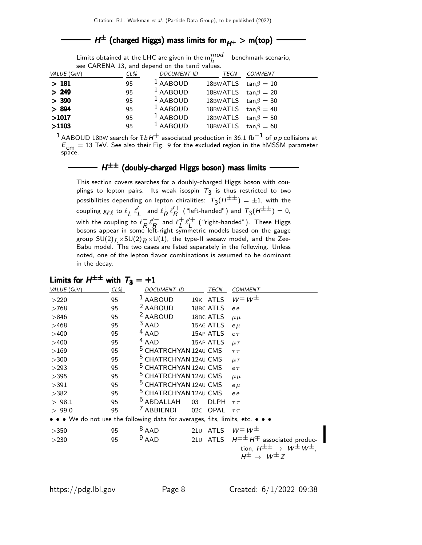# $H^{\pm}$  (charged Higgs) mass limits for  $m_{H^+} > m({\rm top})$

Limits obtained at the LHC are given in the  $\mathsf{m}_{h}^{mod-}$  benchmark scenario, see CARENA 13, and depend on the tan $\beta$  values.

| VALUE (GeV) | $CL\%$ | <b>DOCUMENT ID</b> | TECN                      | <b>COMMENT</b> |
|-------------|--------|--------------------|---------------------------|----------------|
| >181        | 95     | $1$ AABOUD         | 18BWATLS $tan \beta = 10$ |                |
| > 249       | 95     | $1$ AABOUD         | 18BWATLS $tan \beta = 20$ |                |
| > 390       | 95     | $1$ AABOUD         | 18BWATLS $tan \beta = 30$ |                |
| > 894       | 95     | $1$ AABOUD         | 18BWATLS $tan \beta = 40$ |                |
| >1017       | 95     | $1$ AABOUD         | 18BWATLS $tan \beta = 50$ |                |
| >1103       | 95     | $1$ AABOUD         | 18BWATLS $tan \beta = 60$ |                |

<sup>1</sup> AABOUD 18BW search for  $\overline{t} b H^+$  associated production in 36.1 fb<sup>-1</sup> of pp collisions at  $E_{\text{cm}} = 13$  TeV. See also their Fig. 9 for the excluded region in the hMSSM parameter space.

#### $H^{\pm\pm}$  (doubly-charged Higgs boson) mass limits

This section covers searches for a doubly-charged Higgs boson with couplings to lepton pairs. Its weak isospin  $\tau_3$  is thus restricted to two possibilities depending on lepton chiralities:  $\tau^{}_{3} ( {\rm H}^{\pm\pm} ) = \pm 1,$  with the coupling  $g_{\ell\ell}$  to  $\ell_L^ \bar{L} \ell'_L$  $L'$  and  $\ell_R^+$  $R^+ \ell_R^{\prime +}$  $\mathcal{H}^+_R$  ("left-handed") and  $\mathcal{T}_3(H^{\pm\pm})=0,$ with the coupling to  $\ell_{\mathbf{p}}^ R$ <sup> $\ell$ </sup> $R$  $\frac{R}{R}$  and  $\ell_L^+$  $\frac{1}{L}$   $\ell_L^{\prime +}$  $\begin{pmatrix} \uparrow \downarrow \downarrow \downarrow \end{pmatrix}$  ("right-handed"). These Higgs bosons appear in some left-right symmetric models based on the gauge group  $SU(2)_L \times SU(2)_R \times U(1)$ , the type-II seesaw model, and the Zee-Babu model. The two cases are listed separately in the following. Unless noted, one of the lepton flavor combinations is assumed to be dominant in the decay.

| Limits for $H^{\pm\pm}$                                                       | with $T_3 = \pm 1$ |                                  |     |             |                                                 |
|-------------------------------------------------------------------------------|--------------------|----------------------------------|-----|-------------|-------------------------------------------------|
| VALUE (GeV)                                                                   | $CL\%$             | DOCUMENT ID                      |     | TECN        | <b>COMMENT</b>                                  |
| >220                                                                          | 95                 | $1$ AABOUD                       |     | 19K ATLS    | $W^{\pm}W^{\pm}$                                |
| >768                                                                          | 95                 | <sup>2</sup> AABOUD              |     | 18BC ATLS   | e e                                             |
| >846                                                                          | 95                 | <sup>2</sup> AABOUD              |     | 18BC ATLS   | $\mu \mu$                                       |
| >468                                                                          | 95                 | $3$ AAD                          |     | 15AG ATLS   | $e\mu$                                          |
| >400                                                                          | 95                 | $4$ AAD                          |     | 15AP ATLS   | $e\tau$                                         |
| >400                                                                          | 95                 | $4$ AAD                          |     | 15AP ATLS   | $\mu\tau$                                       |
| >169                                                                          | 95                 | <sup>5</sup> CHATRCHYAN 12AU CMS |     |             | T T                                             |
| >300                                                                          | 95                 | <sup>5</sup> CHATRCHYAN 12AU CMS |     |             | $\mu \tau$                                      |
| >293                                                                          | 95                 | <sup>5</sup> CHATRCHYAN 12AU CMS |     |             | $e\tau$                                         |
| >395                                                                          | 95                 | <sup>5</sup> CHATRCHYAN 12AU CMS |     |             | $\mu \mu$                                       |
| >391                                                                          | 95                 | <sup>5</sup> CHATRCHYAN 12AU CMS |     |             | $e \mu$                                         |
| >382                                                                          | 95                 | <sup>5</sup> CHATRCHYAN 12AU CMS |     |             | e e                                             |
| > 98.1                                                                        | 95                 | <sup>6</sup> ABDALLAH            | 03  | <b>DLPH</b> | T T                                             |
| > 99.0                                                                        | 95                 | <sup>7</sup> ABBIENDI            | 02C | <b>OPAL</b> | T T                                             |
| • • • We do not use the following data for averages, fits, limits, etc. • • • |                    |                                  |     |             |                                                 |
| >350                                                                          | 95                 | $8$ AAD                          |     | 210 ATLS    | $W^{\pm}W^{\pm}$                                |
| >230                                                                          | 95                 | $9$ AAD                          |     | 210 ATLS    | $H^{\pm\pm}H^{\mp}$ associated produc-          |
|                                                                               |                    |                                  |     |             | tion, $H^{\pm\pm} \rightarrow W^{\pm}W^{\pm}$ . |
|                                                                               |                    |                                  |     |             | $H^{\pm} \rightarrow W^{\pm} Z$                 |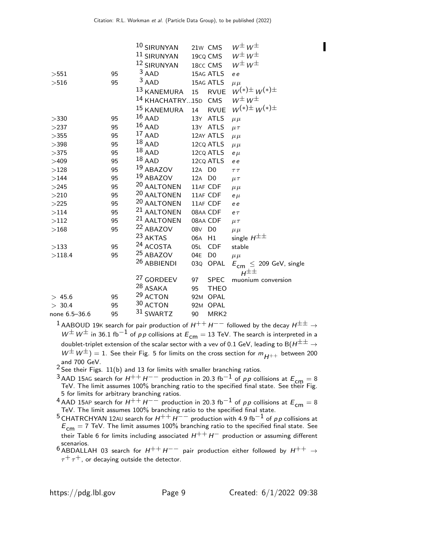|               |    | 10 SIRUNYAN                    | 21w CMS                | $W^{\pm}W^{\pm}$                                     |
|---------------|----|--------------------------------|------------------------|------------------------------------------------------|
|               |    | <sup>11</sup> SIRUNYAN         | 19cq CMS               | $W^{\pm}W^{\pm}$                                     |
|               |    | 12 SIRUNYAN                    | 18cc CMS               | $W^{\pm}W^{\pm}$                                     |
| >551          | 95 | $3$ AAD                        | 15AG ATLS              | e e                                                  |
| >516          | 95 | $3$ AAD                        | 15AG ATLS              | $\mu \mu$                                            |
|               |    | 13 KANEMURA                    | <b>RVUE</b><br>15      | $W^{(*)\pm} W^{(*)\pm}$                              |
|               |    | <sup>14</sup> KHACHATRY15D CMS |                        | $W^{\pm}W^{\pm}$                                     |
|               |    | <sup>15</sup> KANEMURA         | <b>RVUE</b><br>14      | $W^{(*)\pm} W^{(*)\pm}$                              |
| >330          | 95 | $16$ AAD                       | 13Y ATLS               | $\mu \mu$                                            |
| >237          | 95 | $16$ AAD                       | 13Y ATLS               | $\mu\tau$                                            |
| >355          | 95 | $17$ AAD                       | 12AY ATLS              | $\mu \mu$                                            |
| >398          | 95 | $18$ AAD                       | 12cQ ATLS              | $\mu \mu$                                            |
| >375          | 95 | $18$ AAD                       | 12cQ ATLS              | $e\mu$                                               |
| >409          | 95 | $18$ AAD                       | 12cQ ATLS              | e e                                                  |
| >128          | 95 | <sup>19</sup> ABAZOV           | 12A D <sub>0</sub>     | $\tau\,\tau$                                         |
| >144          | 95 | <sup>19</sup> ABAZOV           | 12A D0                 | $\mu\tau$                                            |
| >245          | 95 | 20 AALTONEN                    | 11AF CDF               | $\mu \mu$                                            |
| >210          | 95 | <sup>20</sup> AALTONEN         | 11AF CDF               | $e \mu$                                              |
| >225          | 95 | 20 AALTONEN                    | 11AF CDF               | e e                                                  |
| >114          | 95 | <sup>21</sup> AALTONEN         | 08AA CDF               | $e\tau$                                              |
| >112          | 95 | <sup>21</sup> AALTONEN         | 08AA CDF               | $\mu \tau$                                           |
| >168          | 95 | <sup>22</sup> ABAZOV           | 08V D0                 | $\mu \mu$                                            |
|               |    | 23 AKTAS                       | 06A<br>H1              | single $H^{\pm\pm}$                                  |
| >133          | 95 | 24 ACOSTA                      | 05L<br><b>CDF</b>      | stable                                               |
| >118.4        | 95 | <sup>25</sup> ABAZOV           | 04E<br>D <sub>0</sub>  | $\mu \mu$                                            |
|               |    | <sup>26</sup> ABBIENDI         | 03Q<br>OPAL            | $E_{\text{cm}} \leq 209$ GeV, single<br>$H^{\pm\pm}$ |
|               |    | <sup>27</sup> GORDEEV          | 97<br><b>SPEC</b>      | muonium conversion                                   |
|               |    | 28 ASAKA                       | 95<br><b>THEO</b>      |                                                      |
| > 45.6        | 95 | 29 ACTON                       | 92M OPAL               |                                                      |
| > 30.4        | 95 | 30 ACTON                       | 92M OPAL               |                                                      |
| none 6.5–36.6 | 95 | 31 SWARTZ                      | MRK <sub>2</sub><br>90 |                                                      |
|               |    |                                |                        |                                                      |

<sup>1</sup> AABOUD 19K search for pair production of  $H^{++}H^{--}$  followed by the decay  $H^{\pm\pm} \rightarrow$  $W^{\pm}W^{\pm}$  in 36.1 fb<sup>-1</sup> of pp collisions at  $E_{cm} = 13$  TeV. The search is interpreted in a doublet-triplet extension of the scalar sector with a vev of 0.1 GeV, leading to B $(H^{\pm\pm} \rightarrow$  $W^{\pm}W^{\pm}) = 1$ . See their Fig. 5 for limits on the cross section for  $m_{H^{++}}$  between 200 and 700 GeV.

- $2$  See their Figs. 11(b) and 13 for limits with smaller branching ratios.
- $^3$ AAD 15AG search for  $H^{++}H^{--}$  production in 20.3 fb $^{-1}$  of pp collisions at  $E_{\textsf{cm}}=8$  TeV. The limit assumes 100% branching ratio to the specified final state. See their Fig. 5 for limits for arbitrary branching ratios.
- $^4$  AAD 15AP search for  $H^{++}H^{--}$  production in 20.3 fb $^{-1}$  of pp collisions at  $E_{\mathsf{cm}}=8$  TeV. The limit assumes 100% branching ratio to the specified final state.
- $^5$  CHATRCHYAN 12AU search for  $H^{++}$   $H^{--}$  production with 4.9 fb $^{-1}$  of  $\rho$  p collisions at  $E_{\mathsf{cm}}=$  7 TeV. The limit assumes 100% branching ratio to the specified final state. See their Table 6 for limits including associated  $H^{++}H^-$  production or assuming different scenarios.
- 6 ABDALLAH 03 search for  $H^{++}H^{--}$  pair production either followed by  $H^{++} \rightarrow$  $\tau^+ \tau^+$ , or decaying outside the detector.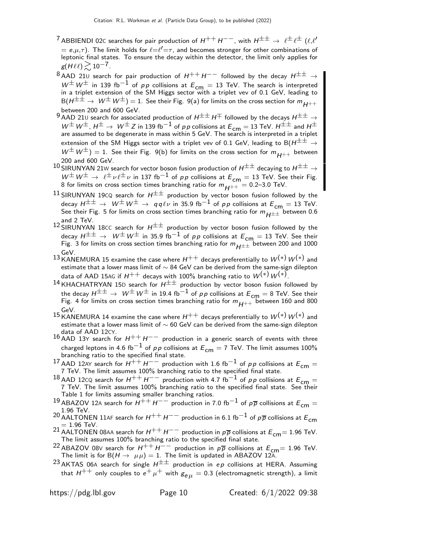- $^7$ ABBIENDI 02C searches for pair production of  $H^{++}H^{--}$ , with  $H^{\pm\pm} \to~\ell^{\pm}\ell^{\pm}$  ( $\ell,\ell'$  $\tilde{f}=e,\mu,\tau)$ . The limit holds for  $\ell = \ell' = \tau$ , and becomes stronger for other combinations of leptonic final states. To ensure the decay within the detector, the limit only applies for  $g(H\ell\ell)\gtrsim10^{-7}$ .
- 8 AAD 21U search for pair production of  $H^{++}H^{--}$  followed by the decay  $H^{\pm\pm} \rightarrow$  $W^{\pm}$  W<sup> $\pm$ </sup> in 139 fb $^{-1}$  of pp collisions at  $E_{\text{cm}} = 13$  TeV. The search is interpreted in a triplet extension of the SM Higgs sector with a triplet vev of 0.1 GeV, leading to  $B(H^{\pm \pm} \to W^{\pm}W^{\pm}) = 1$ . See their Fig. 9(a) for limits on the cross section for  $m_{H^{++}}$ between 200 and 600 GeV.
- 9 AAD 210 search for associated production of  $H^{\pm\pm} H^{\mp}$  followed by the decays  $H^{\pm\pm} \rightarrow$  $W^{\pm}W^{\pm}$ ,  $H^{\pm}\to W^{\pm}Z$  in 139 fb $^{-1}$  of pp collisions at  $E_{cm}=$  13 TeV.  $H^{\pm\pm}$  and  $H^{\pm}$ are assumed to be degenerate in mass within 5 GeV. The search is interpreted in a triplet extension of the SM Higgs sector with a triplet vev of 0.1 GeV, leading to B( $H^{\pm\pm} \rightarrow$  $W^{\pm}W^{\pm}$ ) = 1. See their Fig. 9(b) for limits on the cross section for  $m_{H^{++}}$  between 200 and 600 GeV.
- 10 SIRUNYAN 21W search for vector boson fusion production of  $H^{\pm\pm}$  decaying to  $H^{\pm\pm} \rightarrow$  $W^{\pm}W^{\pm} \rightarrow \ell^{\pm} \nu \ell^{\pm} \nu$  in 137 fb<sup>-1</sup> of pp collisions at  $E_{cm} = 13$  TeV. See their Fig. 8 for limits on cross section times branching ratio for  $m_{H^{++}} =$  0.2–3.0 TeV.
- 11 SIRUNYAN 19CQ search for  $H^{\pm\pm}$  production by vector boson fusion followed by the decay  $H^{\pm\pm} \to W^{\pm}W^{\pm} \to qq\ell\nu$  in 35.9 fb<sup>-1</sup> of pp collisions at  $E_{\mathsf{cm}} = 13$  TeV. See their Fig. 5 for limits on cross section times branching ratio for  $m_{H^{\pm\pm}}$  between 0.6 and 2 TeV.
- 12 SIRUNYAN 18CC search for  $H^{\pm\pm}$  production by vector boson fusion followed by the decay  $H^{\pm\pm}$  →  $W^{\pm}$   $W^{\pm}$  in 35.9 fb $^{-1}$  of pp collisions at  $E_{\mathsf{cm}}=$  13 TeV. See their Fig. 3 for limits on cross section times branching ratio for  $m_{H^{\pm\pm}}$  between 200 and 1000
- $^{13}$  KANEMURA 15 examine the case where  $H^{++}$  decays preferentially to  $\mathcal{W}^{(*)}$   $\mathcal{W}^{(*)}$  and estimate that a lower mass limit of  $\sim$  84 GeV can be derived from the same-sign dilepton data of AAD 15AG if  $H^{++}$  decays with 100% branching ratio to  $\mathit{W}^{(*)} \, \mathit{W}^{(*)}$  .
- <sup>14</sup> KHACHATRYAN 15D search for  $H^{\pm\pm}$  production by vector boson fusion followed by the decay  $H^{\pm\pm} \to W^\pm W^\pm$  in 19.4 fb $^{-1}$  of pp collisions at  $E_{\text{cm}} = 8$  TeV. See their Fig. 4 for limits on cross section times branching ratio for  $m_{H^{++}}$  between 160 and 800 GeV.
- 15 KANEMURA 14 examine the case where  $H^{++}$  decays preferentially to  $W^{(*)}W^{(*)}$  and estimate that a lower mass limit of  $\sim$  60 GeV can be derived from the same-sign dilepton data of AAD 12CY.
- 16 AAD 13Y search for  $H^{++}H^{--}$  production in a generic search of events with three charged leptons in 4.6 fb $^{-1}$  of pp collisions at  $E_{cm} = 7$  TeV. The limit assumes 100% branching ratio to the specified final state.
- <sup>17</sup> AAD 12AY search for  $H^{++}H^{--}$  production with 1.6 fb<sup>-1</sup> of *pp* collisions at  $E_{\text{cm}} = 7$  TeV. The limit assumes 100% branching ratio to the specified final state.
- 18 AAD 12CQ search for  $H^{++}H^{--}$  production with 4.7 fb<sup>-1</sup> of pp collisions at  $E_{cm} =$ 7 TeV. The limit assumes 100% branching ratio to the specified final state. See their Table 1 for limits assuming smaller branching ratios.
- 19 ABAZOV 12A search for  $H^{++}H^{--}$  production in 7.0 fb<sup>-1</sup> of  $p\overline{p}$  collisions at  $E_{cm} =$ 1.96 TeV.
- 20 AALTONEN 11AF search for  $H^{++}H^{--}$  production in 6.1 fb<sup>-1</sup> of  $p\overline{p}$  collisions at  $E_{cm}$  $= 1.96$  TeV.
- 21 AALTONEN 08AA search for  $H^{++}H^{--}$  production in  $p\overline{p}$  collisions at  $E_{cm}=$  1.96 TeV. The limit assumes 100% branching ratio to the specified final state.
- <sup>22</sup> ABAZOV 08V search for  $H^{++}H^{--}$  production in  $p\overline{p}$  collisions at  $E_{cm}$  = 1.96 TeV. The limit is for  $B(H \to \mu\mu) = 1$ . The limit is updated in ABAZOV 12A.
- <sup>23</sup> AKTAS 06A search for single  $H^{\pm\pm}$  production in ep collisions at HERA. Assuming that  $H^{++}$  only couples to  $e^+ \mu^+$  with  $g_{\rho\mu} = 0.3$  (electromagnetic strength), a limit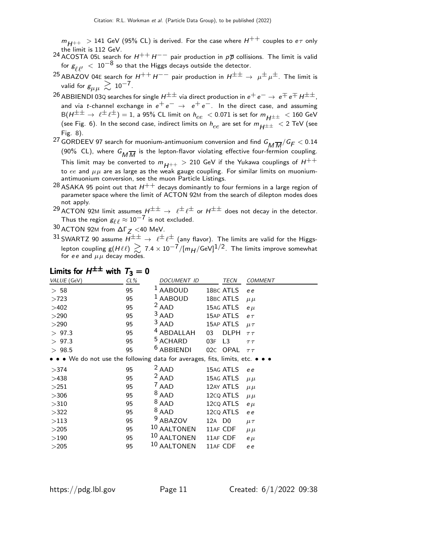$m_{H^{++}}~>$  141 GeV (95% CL) is derived. For the case where  $H^{++}$  couples to  $e\tau$  only

- 24 the limit is 112 GeV.<br><sup>24</sup> ACOSTA 05L search for *H++ H−−* pair production in pp collisions. The limit is valid for  $g_{\ell,\ell'}^{\phantom i'}\ <\ 10^{-8}$  so that the Higgs decays outside the detector.
- <sup>25</sup> ABAZOV 04E search for  $H^{++}H^{--}$  pair production in  $H^{\pm\pm} \rightarrow \mu^{\pm} \mu^{\pm}$ . The limit is valid for  $g_{\mu\mu} \gtrsim 10^{-7}$ .
- 26 ABBIENDI 03Q searches for single  $H^{\pm\pm}$  via direct production in  $e^+e^-\to e^{\mp}e^{\mp}H^{\pm\pm}$ , and via t-channel exchange in  $e^+e^- \rightarrow e^+e^-$ . In the direct case, and assuming  $B(H^{\pm \pm} \rightarrow \ell^{\pm} \ell^{\pm}) = 1$ , a 95% CL limit on  $h_{ee} < 0.071$  is set for  $m_{H^{\pm \pm}} < 160$  GeV (see Fig. 6). In the second case, indirect limits on  $h_{ee}$  are set for  $m_{H^{\pm\pm}}$  < 2 TeV (see Fig. 8).
- <sup>27</sup> GORDEEV 97 search for muonium-antimuonium conversion and find  $G_{\overline{M}\overline{M}}/G_F < 0.14$ (90% CL), where  $G_{\overline{M}\overline{M}}$  is the lepton-flavor violating effective four-fermion coupling. This limit may be converted to  $m_{H^{++}} > 210$  GeV if the Yukawa couplings of  $H^{++}$ to ee and  $\mu\mu$  are as large as the weak gauge coupling. For similar limits on muoniumantimuonium conversion, see the muon Particle Listings.
- $^{28}$  ASAKA 95 point out that  $H^{++}$  decays dominantly to four fermions in a large region of parameter space where the limit of ACTON 92M from the search of dilepton modes does not apply.
- <sup>29</sup> ACTON 92M limit assumes  $H^{\pm\pm} \rightarrow \ell^{\pm} \ell^{\pm}$  or  $H^{\pm\pm}$  does not decay in the detector. Thus the region  $g_{\ell \, \ell} \approx 10^{-7}$  is not excluded.
- $30$  ACTON 92M from  $\Delta\Gamma_Z$  <40 MeV.
- 31 SWARTZ 90 assume  $\overline{H^{\pm \pm}} \to e^{\pm}e^{\pm}$  (any flavor). The limits are valid for the Higgslepton coupling g $(H\ell\ell)\gtrsim 7.4\times 10^{-7}/[m_H/{\rm GeV}]^{1/2}$ . The limits improve somewhat<br>for ee and  $\mu\mu$  decay modes.

|                                                                                                                       | د.  |                       |                    |                        |                |
|-----------------------------------------------------------------------------------------------------------------------|-----|-----------------------|--------------------|------------------------|----------------|
| VALUE (GeV)                                                                                                           | CL% | DOCUMENT ID           |                    | <b>TECN</b>            | <b>COMMENT</b> |
| > 58                                                                                                                  | 95  | <b>AABOUD</b>         |                    | 18BC ATLS              | e e            |
| >723                                                                                                                  | 95  | <sup>1</sup> AABOUD   |                    | 18BC ATLS              | $\mu \mu$      |
| >402                                                                                                                  | 95  | $2$ AAD               |                    | 15AG ATLS              | $e \mu$        |
| >290                                                                                                                  | 95  | $3$ AAD               |                    | 15AP ATLS              | $e\tau$        |
| >290                                                                                                                  | 95  | $3$ AAD               |                    | 15AP ATLS              | $\mu\tau$      |
| > 97.3                                                                                                                | 95  | <sup>4</sup> ABDALLAH | 03                 | <b>DLPH</b>            | $\tau\,\tau$   |
| > 97.3                                                                                                                | 95  | <sup>5</sup> ACHARD   | 03F                | L <sub>3</sub>         | $\tau\,\tau$   |
| > 98.5                                                                                                                | 95  | <sup>6</sup> ABBIENDI | 02C                | <b>OPAL</b>            | $\tau\,\tau$   |
| $\bullet \bullet \bullet$ We do not use the following data for averages, fits, limits, etc. $\bullet \bullet \bullet$ |     |                       |                    |                        |                |
| >374                                                                                                                  | 95  | $2$ AAD               |                    | 15AG ATLS              | e e            |
| >438                                                                                                                  | 95  | $2$ AAD               |                    | 15AG ATLS              | $\mu \mu$      |
| >251                                                                                                                  | 95  | $7$ AAD               |                    | 12AY ATLS              | $\mu \mu$      |
| >306                                                                                                                  | 95  | $8$ AAD               |                    | 12cQ ATLS              | $\mu \mu$      |
| >310                                                                                                                  | 95  | $8$ AAD               |                    | 12cq ATLS              | $e \mu$        |
| >322                                                                                                                  | 95  | $8$ AAD               |                    | 12 <sub>c</sub> Q ATLS | e e            |
| >113                                                                                                                  | 95  | <sup>9</sup> ABAZOV   | 12A D <sub>0</sub> |                        | $\mu\tau$      |
| >205                                                                                                                  | 95  | 10 AALTONEN           | 11AF CDF           |                        | $\mu\mu$       |
| >190                                                                                                                  | 95  | 10 AALTONEN           | 11AF CDF           |                        | $e \mu$        |
| >205                                                                                                                  | 95  | 10 AALTONEN           | 11AF CDF           |                        | e e            |
|                                                                                                                       |     |                       |                    |                        |                |

## Limits for  $H^{\pm\pm}$  with  $T_3=0$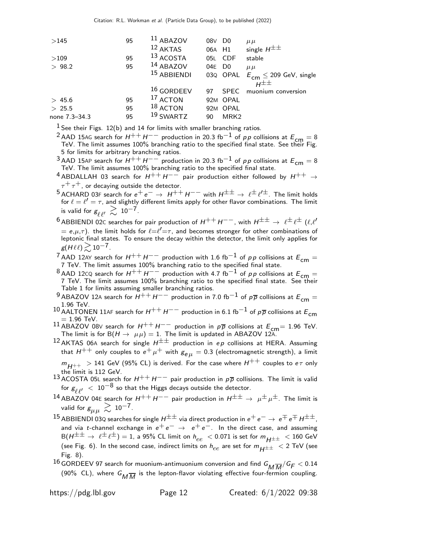| >145          | 95 | $11$ ABAZOV            | 08V D <sub>0</sub> |                  | $\mu \mu$                                     |
|---------------|----|------------------------|--------------------|------------------|-----------------------------------------------|
|               |    | $12$ AKTAS             | 06A H1             |                  | single $H^{\pm\pm}$                           |
| >109          | 95 | 13 ACOSTA              |                    | 05L CDF          | stable                                        |
| > 98.2        | 95 | $14$ ABAZOV            | 04E D <sub>0</sub> |                  | $\mu \mu$                                     |
|               |    | <sup>15</sup> ABBIENDI |                    |                  | 03Q OPAL $E_{\text{cm}} \leq 209$ GeV, single |
|               |    |                        |                    |                  | $H^{\pm\pm}$                                  |
|               |    | $16$ GORDEEV           | 97                 | <b>SPEC</b>      | muonium conversion                            |
| > 45.6        | 95 | <sup>17</sup> ACTON    |                    | 92M OPAL         |                                               |
| > 25.5        | 95 | $18$ ACTON             |                    | 92M OPAL         |                                               |
| none 7.3–34.3 | 95 | <sup>19</sup> SWARTZ   | 90                 | MRK <sub>2</sub> |                                               |
|               |    |                        |                    |                  |                                               |

 $<sup>1</sup>$  See their Figs. 12(b) and 14 for limits with smaller branching ratios.</sup>

- <sup>2</sup> AAD 15AG search for  $H^{++}H^{--}$  production in 20.3 fb<sup>-1</sup> of pp collisions at  $E_{cm} = 8$ TeV. The limit assumes 100% branching ratio to the specified final state. See their Fig. 5 for limits for arbitrary branching ratios.
- $^3$ AAD 15AP search for  $H^{++}H^{--}$  production in 20.3 fb $^{-1}$  of pp collisions at  $E_{\mathsf{cm}}=8$  TeV. The limit assumes 100% branching ratio to the specified final state.
- <sup>4</sup> ABDALLAH 03 search for  $H^{++}H^{--}$  pair production either followed by  $H^{++} \rightarrow$  $\tau^+ \tau^+$ , or decaying outside the detector.
- 5 ACHARD 03F search for  $e^+e^- \to H^{++}H^{--}$  with  $H^{\pm\pm} \to \ell^{\pm}\ell^{\prime\pm}$ . The limit holds for  $\ell = \ell' = \tau$ , and slightly different limits apply for other flavor combinations. The limit is valid for  $g_{\ell \ell'} \gtrsim 10^{-7}$ .
- $^6$  ABBIENDI 02C searches for pair production of  $H^{++}H^{--}$ , with  $H^{\pm\pm} \to~\ell^{\pm}\ell^{\pm}$  ( $\ell,\ell'$  $\tilde{r}=e,\mu,\tau)$ . the limit holds for  $\ell{=}\ell'{=}\tau$ , and becomes stronger for other combinations of leptonic final states. To ensure the decay within the detector, the limit only applies for  $g(H \ell \ell) \geq 10^{-7}$ .
- <sup>7</sup> AAD 12AY search for  $H^{++}H^{--}$  production with 1.6 fb $^{-1}$  of  $p \, p$  collisions at  $E_{\mathsf{cm}}=7$  TeV. The limit assumes 100% branching ratio to the specified final state.
- 8 AAD 12CQ search for  $H^{++}H^{--}$  production with 4.7 fb<sup>-1</sup> of pp collisions at  $E_{cm} =$ 7 TeV. The limit assumes 100% branching ratio to the specified final state. See their Table 1 for limits assuming smaller branching ratios.
- <sup>9</sup> ABAZOV 12A search for  $H^{++}H^{--}$  production in 7.0 fb<sup>-1</sup> of  $p\overline{p}$  collisions at  $E_{cm} =$ 1.96 TeV.
- 10 AALTONEN 11AF search for  $H^{++}H^{--}$  production in 6.1 fb<sup>-1</sup> of pp collisions at  $E_{cm}$  $= 1.96$  TeV.
- <sup>11</sup> ABAZOV 08∨ search for  $H^{++}H^{--}$  production in  $p\overline{p}$  collisions at  $E_{cm}$  = 1.96 TeV.<br>The limit is for B( $H \rightarrow \mu\mu$ ) = 1. The limit is updated in ABAZOV 12A.
- <sup>12</sup> AKTAS 06A search for single  $H^{\pm\pm}$  production in ep collisions at HERA. Assuming that  $H^{++}$  only couples to  $e^+ \mu^+$  with  $g_{e\mu} = 0.3$  (electromagnetic strength), a limit  $m_{H++}$  > 141 GeV (95% CL) is derived. For the case where  $H^{++}$  couples to  $e\tau$  only
- 13 the limit is 112 GeV.<br>13 ACOSTA 05L search for  $H^{++}H^{--}$  pair production in  $p\overline{p}$  collisions. The limit is valid
- for  $g_{\ell,\ell'}^{\phantom i'}\ <\ 10^{-8}$  so that the Higgs decays outside the detector.
- 14 ABAZOV 04E search for  $H^{++}H^{--}$  pair production in  $H^{\pm\pm} \to \mu^{\pm} \mu^{\pm}$ . The limit is valid for  $g_{\mu\mu} \gtrsim 10^{-7}$ .
- $^{15}$  ABBIENDI 03Q searches for single  $H^{\pm\pm}$  via direct production in  $e^+ \, e^- \to \, e^{\mp} \, e^{\mp} \, H^{\pm\pm}$  , and via t-channel exchange in  $e^+e^- \rightarrow e^+e^-$ . In the direct case, and assuming  $B(H^{\pm \pm} \rightarrow \ell^{\pm} \ell^{\pm}) = 1$ , a 95% CL limit on  $h_{ee} < 0.071$  is set for  $m_{H^{\pm \pm}} < 160$  GeV (see Fig. 6). In the second case, indirect limits on  $h_{ee}$  are set for  $m_{H^{\pm\pm}}$   $<$  2 TeV (see Fig. 8).
- $^{16}$  GORDEEV 97 search for muonium-antimuonium conversion and find  $G_{\overline{M}\overline{M}}/G_F < 0.14$ (90% CL), where  $G_{\overline{M}\overline{M}}$  is the lepton-flavor violating effective four-fermion coupling.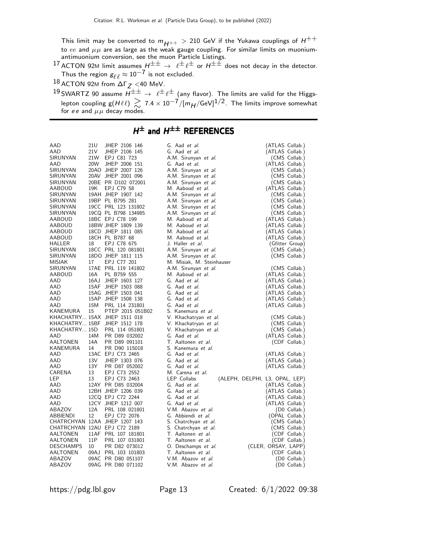This limit may be converted to  $m_{H^{++}} > 210$  GeV if the Yukawa couplings of  $H^{++}$ to  $ee$  and  $\mu\mu$  are as large as the weak gauge coupling. For similar limits on muoniumantimuonium conversion, see the muon Particle Listings.

 $^{17}$  ACTON 92M limit assumes  $H^{\pm\pm} \to~\ell^{\pm}\ell^{\pm}$  or  $H^{\pm\pm}$  does not decay in the detector. Thus the region  $g_{\ell\,\ell}\approx 10^{-7}$  is not excluded.

18 ACTON 92M from  $\Delta\Gamma_Z$  <40 MeV.

 $^{19}$ SWARTZ 90 assume  $H^{\pm\pm} \to~\ell^{\pm}\ell^{\pm}$  (any flavor). The limits are valid for the Higgslepton coupling g $({H\ell\ell})\gtrsim7.4\times10^{-7}/[m_{H}/{\rm GeV}]^{1/2}$ . The limits improve somewhat<br>for ee and  $\mu\mu$  decay modes.

### $H^{\pm}$  and  $H^{\pm\pm}$  REFERENCES

| AAD                          | 21U             | JHEP 2106 146                      | G. Aad <i>et al.</i>                                           | (ATLAS Collab.)                    |
|------------------------------|-----------------|------------------------------------|----------------------------------------------------------------|------------------------------------|
| AAD                          | 21 <sub>V</sub> | JHEP 2106 145                      | G. Aad et al.                                                  | (ATLAS Collab.)                    |
| SIRUNYAN                     | 21W             | EPJ C81 723                        | A.M. Sirunyan et al.                                           | (CMS Collab.)                      |
| AAD                          | 20W             | JHEP 2006 151                      | G. Aad et al.                                                  | (ATLAS Collab.)                    |
| SIRUNYAN                     |                 | 20AO JHEP 2007 126                 | A.M. Sirunyan et al.                                           | (CMS Collab.)                      |
| SIRUNYAN                     |                 | 20AV JHEP 2001 096                 | A.M. Sirunyan et al.                                           | (CMS Collab.)                      |
| SIRUNYAN                     |                 | 20BE PR D102 072001                | A.M. Sirunyan et al.                                           | (CMS Collab.)                      |
| AABOUD                       | 19K             | EPJ C79 58                         | M. Aaboud et al.                                               | (ATLAS Collab.)                    |
| SIRUNYAN                     |                 | 19AH JHEP 1907 142                 | A.M. Sirunyan et al.                                           | (CMS Collab.)                      |
| SIRUNYAN                     |                 | 19BP PL B795 281                   | A.M. Sirunyan et al.                                           | (CMS Collab.)                      |
| SIRUNYAN                     |                 | 19CC PRL 123 131802                | A.M. Sirunyan et al.                                           | (CMS Collab.)                      |
| SIRUNYAN                     |                 | 19CQ PL B798 134985                | A.M. Sirunyan et al.                                           | (CMS Collab.)                      |
| AABOUD                       |                 | 18BC EPJ C78 199                   | M. Aaboud et al.                                               | (ATLAS Collab.)                    |
| AABOUD                       |                 | 18BW JHEP 1809 139                 | M. Aaboud et al.                                               | (ATLAS Collab.)                    |
| AABOUD                       |                 | 18CD JHEP 1811 085                 | M. Aaboud et al.                                               | (ATLAS Collab.)                    |
| <b>AABOUD</b>                |                 | 18CH PL B787 68                    | M. Aaboud et al.                                               | (ATLAS Collab.)                    |
| HALLER                       | 18              | EPJ C78 675                        | J. Haller et al.                                               | (Gfitter Group)                    |
| SIRUNYAN                     |                 | 18CC PRL 120 081801                | A.M. Sirunyan et al.                                           | (CMS Collab.)                      |
| SIRUNYAN                     |                 | 18DO JHEP 1811 115                 | A.M. Sirunyan et al.                                           | (CMS Collab.)                      |
| MISIAK                       | 17              | EPJ C77 201                        | M. Misiak, M. Steinhauser                                      |                                    |
| SIRUNYAN                     |                 | 17AE PRL 119 141802                | A.M. Sirunyan et al.                                           | (CMS Collab.)                      |
| AABOUD                       | 16A             | PL B759 555                        | M. Aaboud et al.                                               | (ATLAS Collab.)                    |
| AAD                          |                 | 16AJ JHEP 1603 127                 | G. Aad et al.                                                  | (ATLAS Collab.)                    |
| AAD                          |                 | 15AF JHEP 1503 088                 | G. Aad et al.                                                  | (ATLAS Collab.)                    |
| AAD                          |                 | 15AG JHEP 1503 041                 | G. Aad et al.                                                  | (ATLAS Collab.)                    |
| AAD                          |                 | 15AP JHEP 1508 138                 | G. Aad et al.                                                  | (ATLAS Collab.)                    |
| AAD                          | 15M             | PRL 114 231801                     | G. Aad et al.                                                  | (ATLAS Collab.)                    |
| KANEMURA                     | 15              | PTEP 2015 051B02                   | S. Kanemura et al.                                             |                                    |
|                              |                 | KHACHATRY 15AX JHEP 1511 018       | V. Khachatryan et al.                                          | (CMS Collab.)                      |
|                              |                 | KHACHATRY 15BF JHEP 1512 178       | V. Khachatryan et al.                                          | (CMS Collab.)                      |
| KHACHATRY 15D                |                 | PRL 114 051801                     | V. Khachatryan et al.                                          | (CMS Collab.)                      |
| AAD                          | 14M             | PR D89 032002                      | G. Aad et al.                                                  | (ATLAS Collab.)                    |
| <b>AALTONEN</b>              | 14A             | PR D89 091101                      | T. Aaltonen et al.                                             | (CDF Collab.)                      |
| KANEMURA                     | 14              | PR D90 115018                      | S. Kanemura et al.                                             |                                    |
| AAD                          |                 | 13AC EPJ C73 2465                  | G. Aad et al.                                                  | (ATLAS Collab.)                    |
| AAD                          | 13V             | JHEP 1303 076                      | G. Aad et al.                                                  | (ATLAS Collab.)                    |
| AAD                          | 13Y             | PR D87 052002                      | G. Aad et al.                                                  | (ATLAS Collab.)                    |
| CARENA                       | 13<br>13        | EPJ C73 2552                       | M. Carena et al.                                               |                                    |
| LEP                          |                 | EPJ C73 2463<br>12AY PR D85 032004 | LEP Collabs<br>(ALEPH, DELPHI, L3, OPAL, LEP)<br>G. Aad et al. |                                    |
| AAD<br>AAD                   |                 | 12BH JHEP 1206 039                 | G. Aad et al.                                                  | (ATLAS Collab.)                    |
| AAD                          |                 | 12CQ EPJ C72 2244                  | G. Aad et al.                                                  | (ATLAS Collab.)<br>(ATLAS Collab.) |
| AAD                          |                 | 12CY JHEP 1212 007                 | G. Aad et al.                                                  | (ATLAS Collab.)                    |
| ABAZOV                       | 12A             | PRL 108 021801                     | V.M. Abazov et al.                                             | (D0 Collab.)                       |
| ABBIENDI                     | 12              | EPJ C72 2076                       | G. Abbiendi et al.                                             | (OPAL Collab.)                     |
|                              |                 | CHATRCHYAN 12AA JHEP 1207 143      | S. Chatrchyan et al.                                           | (CMS Collab.)                      |
| CHATRCHYAN 12AU EPJ C72 2189 |                 |                                    | S. Chatrchyan et al.                                           | (CMS Collab.)                      |
| AALTONEN                     |                 | 11AF PRL 107 181801                | T. Aaltonen et al.                                             | (CDF Collab.)                      |
| AALTONEN                     | 11P             | PRL 107 031801                     | T. Aaltonen et al.                                             | (CDF Collab.)                      |
| <b>DESCHAMPS</b>             | 10              | PR D82 073012                      | O. Deschamps et al.                                            | (CLER, ORSAY, LAPP)                |
| AALTONEN                     |                 | 09AJ PRL 103 101803                | T. Aaltonen et al.                                             | (CDF Collab.)                      |
| ABAZOV                       |                 | 09AC PR D80 051107                 | V.M. Abazov et al.                                             | (D0 Collab.)                       |
| ABAZOV                       |                 | 09AG PR D80 071102                 | V.M. Abazov et al.                                             | (D0 Collab.)                       |